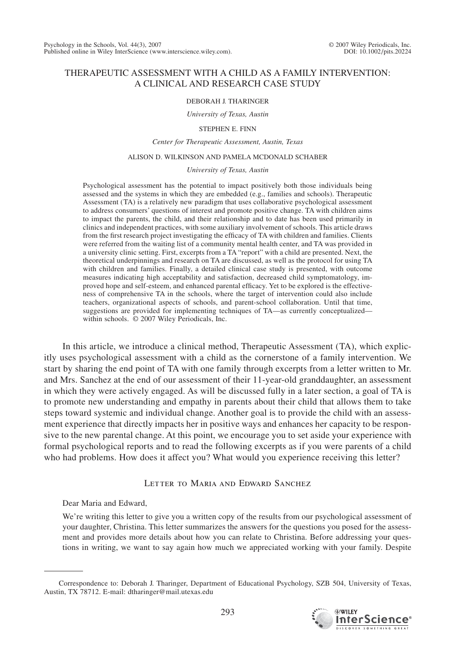# THERAPEUTIC ASSESSMENT WITH A CHILD AS A FAMILY INTERVENTION: A CLINICAL AND RESEARCH CASE STUDY

### DEBORAH J. THARINGER

*University of Texas, Austin*

#### STEPHEN E. FINN

#### *Center for Therapeutic Assessment, Austin, Texas*

### ALISON D. WILKINSON AND PAMELA MCDONALD SCHABER

### *University of Texas, Austin*

Psychological assessment has the potential to impact positively both those individuals being assessed and the systems in which they are embedded (e.g., families and schools). Therapeutic Assessment (TA) is a relatively new paradigm that uses collaborative psychological assessment to address consumers' questions of interest and promote positive change. TA with children aims to impact the parents, the child, and their relationship and to date has been used primarily in clinics and independent practices, with some auxiliary involvement of schools. This article draws from the first research project investigating the efficacy of TA with children and families. Clients were referred from the waiting list of a community mental health center, and TA was provided in a university clinic setting. First, excerpts from a TA "report" with a child are presented. Next, the theoretical underpinnings and research on TA are discussed, as well as the protocol for using TA with children and families. Finally, a detailed clinical case study is presented, with outcome measures indicating high acceptability and satisfaction, decreased child symptomatology, improved hope and self-esteem, and enhanced parental efficacy. Yet to be explored is the effectiveness of comprehensive TA in the schools, where the target of intervention could also include teachers, organizational aspects of schools, and parent-school collaboration. Until that time, suggestions are provided for implementing techniques of TA—as currently conceptualized within schools. © 2007 Wiley Periodicals, Inc.

In this article, we introduce a clinical method, Therapeutic Assessment (TA), which explicitly uses psychological assessment with a child as the cornerstone of a family intervention. We start by sharing the end point of TA with one family through excerpts from a letter written to Mr. and Mrs. Sanchez at the end of our assessment of their 11-year-old granddaughter, an assessment in which they were actively engaged. As will be discussed fully in a later section, a goal of TA is to promote new understanding and empathy in parents about their child that allows them to take steps toward systemic and individual change. Another goal is to provide the child with an assessment experience that directly impacts her in positive ways and enhances her capacity to be responsive to the new parental change. At this point, we encourage you to set aside your experience with formal psychological reports and to read the following excerpts as if you were parents of a child who had problems. How does it affect you? What would you experience receiving this letter?

## LETTER TO MARIA AND EDWARD SANCHEZ

Dear Maria and Edward,

We're writing this letter to give you a written copy of the results from our psychological assessment of your daughter, Christina. This letter summarizes the answers for the questions you posed for the assessment and provides more details about how you can relate to Christina. Before addressing your questions in writing, we want to say again how much we appreciated working with your family. Despite

Correspondence to: Deborah J. Tharinger, Department of Educational Psychology, SZB 504, University of Texas, Austin, TX 78712. E-mail: dtharinger@mail.utexas.edu

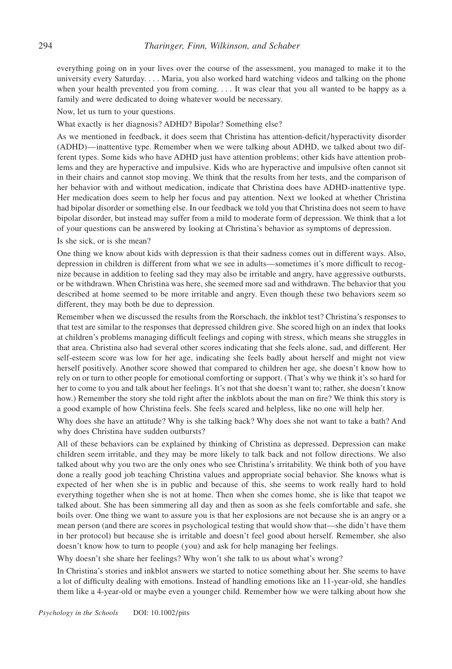everything going on in your lives over the course of the assessment, you managed to make it to the university every Saturday....Maria, you also worked hard watching videos and talking on the phone when your health prevented you from coming. . . . It was clear that you all wanted to be happy as a family and were dedicated to doing whatever would be necessary.

Now, let us turn to your questions.

What exactly is her diagnosis? ADHD? Bipolar? Something else?

As we mentioned in feedback, it does seem that Christina has attention-deficit/hyperactivity disorder (ADHD)—inattentive type. Remember when we were talking about ADHD, we talked about two different types. Some kids who have ADHD just have attention problems; other kids have attention problems and they are hyperactive and impulsive. Kids who are hyperactive and impulsive often cannot sit in their chairs and cannot stop moving. We think that the results from her tests, and the comparison of her behavior with and without medication, indicate that Christina does have ADHD-inattentive type. Her medication does seem to help her focus and pay attention. Next we looked at whether Christina had bipolar disorder or something else. In our feedback we told you that Christina does not seem to have bipolar disorder, but instead may suffer from a mild to moderate form of depression. We think that a lot of your questions can be answered by looking at Christina's behavior as symptoms of depression.

Is she sick, or is she mean?

One thing we know about kids with depression is that their sadness comes out in different ways. Also, depression in children is different from what we see in adults—sometimes it's more difficult to recognize because in addition to feeling sad they may also be irritable and angry, have aggressive outbursts, or be withdrawn. When Christina was here, she seemed more sad and withdrawn. The behavior that you described at home seemed to be more irritable and angry. Even though these two behaviors seem so different, they may both be due to depression.

Remember when we discussed the results from the Rorschach, the inkblot test? Christina's responses to that test are similar to the responses that depressed children give. She scored high on an index that looks at children's problems managing difficult feelings and coping with stress, which means she struggles in that area. Christina also had several other scores indicating that she feels alone, sad, and different. Her self-esteem score was low for her age, indicating she feels badly about herself and might not view herself positively. Another score showed that compared to children her age, she doesn't know how to rely on or turn to other people for emotional comforting or support. (That's why we think it's so hard for her to come to you and talk about her feelings. It's not that she doesn't want to; rather, she doesn't know how.) Remember the story she told right after the inkblots about the man on fire? We think this story is a good example of how Christina feels. She feels scared and helpless, like no one will help her.

Why does she have an attitude? Why is she talking back? Why does she not want to take a bath? And why does Christina have sudden outbursts?

All of these behaviors can be explained by thinking of Christina as depressed. Depression can make children seem irritable, and they may be more likely to talk back and not follow directions. We also talked about why you two are the only ones who see Christina's irritability. We think both of you have done a really good job teaching Christina values and appropriate social behavior. She knows what is expected of her when she is in public and because of this, she seems to work really hard to hold everything together when she is not at home. Then when she comes home, she is like that teapot we talked about. She has been simmering all day and then as soon as she feels comfortable and safe, she boils over. One thing we want to assure you is that her explosions are not because she is an angry or a mean person (and there are scores in psychological testing that would show that—she didn't have them in her protocol) but because she is irritable and doesn't feel good about herself. Remember, she also doesn't know how to turn to people (you) and ask for help managing her feelings.

Why doesn't she share her feelings? Why won't she talk to us about what's wrong?

In Christina's stories and inkblot answers we started to notice something about her. She seems to have a lot of difficulty dealing with emotions. Instead of handling emotions like an 11-year-old, she handles them like a 4-year-old or maybe even a younger child. Remember how we were talking about how she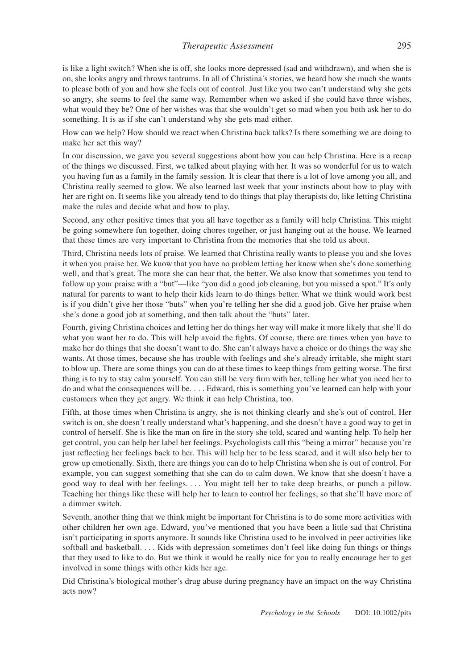is like a light switch? When she is off, she looks more depressed (sad and withdrawn), and when she is on, she looks angry and throws tantrums. In all of Christina's stories, we heard how she much she wants to please both of you and how she feels out of control. Just like you two can't understand why she gets so angry, she seems to feel the same way. Remember when we asked if she could have three wishes, what would they be? One of her wishes was that she wouldn't get so mad when you both ask her to do something. It is as if she can't understand why she gets mad either.

How can we help? How should we react when Christina back talks? Is there something we are doing to make her act this way?

In our discussion, we gave you several suggestions about how you can help Christina. Here is a recap of the things we discussed. First, we talked about playing with her. It was so wonderful for us to watch you having fun as a family in the family session. It is clear that there is a lot of love among you all, and Christina really seemed to glow. We also learned last week that your instincts about how to play with her are right on. It seems like you already tend to do things that play therapists do, like letting Christina make the rules and decide what and how to play.

Second, any other positive times that you all have together as a family will help Christina. This might be going somewhere fun together, doing chores together, or just hanging out at the house. We learned that these times are very important to Christina from the memories that she told us about.

Third, Christina needs lots of praise. We learned that Christina really wants to please you and she loves it when you praise her. We know that you have no problem letting her know when she's done something well, and that's great. The more she can hear that, the better. We also know that sometimes you tend to follow up your praise with a "but"—like "you did a good job cleaning, but you missed a spot." It's only natural for parents to want to help their kids learn to do things better. What we think would work best is if you didn't give her those "buts" when you're telling her she did a good job. Give her praise when she's done a good job at something, and then talk about the "buts" later.

Fourth, giving Christina choices and letting her do things her way will make it more likely that she'll do what you want her to do. This will help avoid the fights. Of course, there are times when you have to make her do things that she doesn't want to do. She can't always have a choice or do things the way she wants. At those times, because she has trouble with feelings and she's already irritable, she might start to blow up. There are some things you can do at these times to keep things from getting worse. The first thing is to try to stay calm yourself. You can still be very firm with her, telling her what you need her to do and what the consequences will be. . . . Edward, this is something you've learned can help with your customers when they get angry. We think it can help Christina, too.

Fifth, at those times when Christina is angry, she is not thinking clearly and she's out of control. Her switch is on, she doesn't really understand what's happening, and she doesn't have a good way to get in control of herself. She is like the man on fire in the story she told, scared and wanting help. To help her get control, you can help her label her feelings. Psychologists call this "being a mirror" because you're just reflecting her feelings back to her. This will help her to be less scared, and it will also help her to grow up emotionally. Sixth, there are things you can do to help Christina when she is out of control. For example, you can suggest something that she can do to calm down. We know that she doesn't have a good way to deal with her feelings. . . . You might tell her to take deep breaths, or punch a pillow. Teaching her things like these will help her to learn to control her feelings, so that she'll have more of a dimmer switch.

Seventh, another thing that we think might be important for Christina is to do some more activities with other children her own age. Edward, you've mentioned that you have been a little sad that Christina isn't participating in sports anymore. It sounds like Christina used to be involved in peer activities like softball and basketball. . . . Kids with depression sometimes don't feel like doing fun things or things that they used to like to do. But we think it would be really nice for you to really encourage her to get involved in some things with other kids her age.

Did Christina's biological mother's drug abuse during pregnancy have an impact on the way Christina acts now?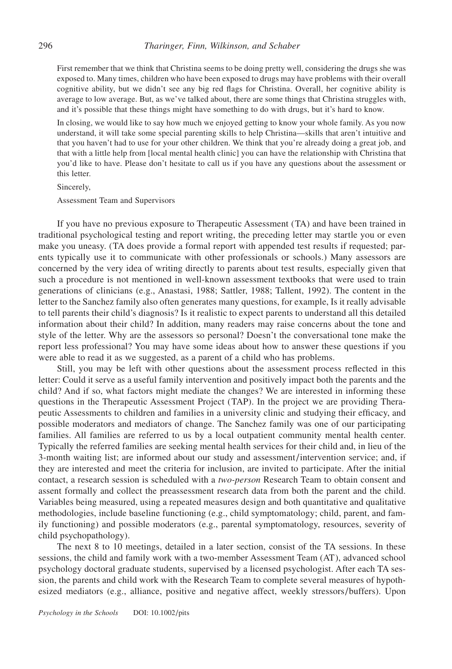First remember that we think that Christina seems to be doing pretty well, considering the drugs she was exposed to. Many times, children who have been exposed to drugs may have problems with their overall cognitive ability, but we didn't see any big red flags for Christina. Overall, her cognitive ability is average to low average. But, as we've talked about, there are some things that Christina struggles with, and it's possible that these things might have something to do with drugs, but it's hard to know.

In closing, we would like to say how much we enjoyed getting to know your whole family. As you now understand, it will take some special parenting skills to help Christina—skills that aren't intuitive and that you haven't had to use for your other children. We think that you're already doing a great job, and that with a little help from [local mental health clinic] you can have the relationship with Christina that you'd like to have. Please don't hesitate to call us if you have any questions about the assessment or this letter.

Sincerely,

Assessment Team and Supervisors

If you have no previous exposure to Therapeutic Assessment (TA) and have been trained in traditional psychological testing and report writing, the preceding letter may startle you or even make you uneasy. (TA does provide a formal report with appended test results if requested; parents typically use it to communicate with other professionals or schools.) Many assessors are concerned by the very idea of writing directly to parents about test results, especially given that such a procedure is not mentioned in well-known assessment textbooks that were used to train generations of clinicians (e.g., Anastasi, 1988; Sattler, 1988; Tallent, 1992). The content in the letter to the Sanchez family also often generates many questions, for example, Is it really advisable to tell parents their child's diagnosis? Is it realistic to expect parents to understand all this detailed information about their child? In addition, many readers may raise concerns about the tone and style of the letter. Why are the assessors so personal? Doesn't the conversational tone make the report less professional? You may have some ideas about how to answer these questions if you were able to read it as we suggested, as a parent of a child who has problems.

Still, you may be left with other questions about the assessment process reflected in this letter: Could it serve as a useful family intervention and positively impact both the parents and the child? And if so, what factors might mediate the changes? We are interested in informing these questions in the Therapeutic Assessment Project (TAP). In the project we are providing Therapeutic Assessments to children and families in a university clinic and studying their efficacy, and possible moderators and mediators of change. The Sanchez family was one of our participating families. All families are referred to us by a local outpatient community mental health center. Typically the referred families are seeking mental health services for their child and, in lieu of the 3-month waiting list; are informed about our study and assessment/intervention service; and, if they are interested and meet the criteria for inclusion, are invited to participate. After the initial contact, a research session is scheduled with a *two-person* Research Team to obtain consent and assent formally and collect the preassessment research data from both the parent and the child. Variables being measured, using a repeated measures design and both quantitative and qualitative methodologies, include baseline functioning (e.g., child symptomatology; child, parent, and family functioning) and possible moderators (e.g., parental symptomatology, resources, severity of child psychopathology).

The next 8 to 10 meetings, detailed in a later section, consist of the TA sessions. In these sessions, the child and family work with a two-member Assessment Team (AT), advanced school psychology doctoral graduate students, supervised by a licensed psychologist. After each TA session, the parents and child work with the Research Team to complete several measures of hypothesized mediators (e.g., alliance, positive and negative affect, weekly stressors/buffers). Upon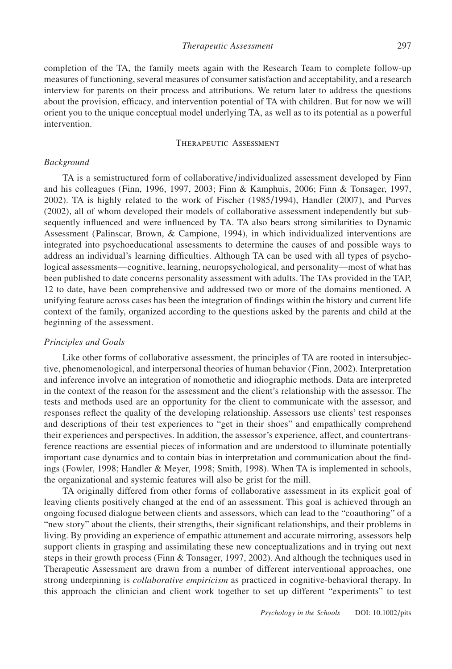completion of the TA, the family meets again with the Research Team to complete follow-up measures of functioning, several measures of consumer satisfaction and acceptability, and a research interview for parents on their process and attributions. We return later to address the questions about the provision, efficacy, and intervention potential of TA with children. But for now we will orient you to the unique conceptual model underlying TA, as well as to its potential as a powerful intervention.

## Therapeutic Assessment

### *Background*

TA is a semistructured form of collaborative/individualized assessment developed by Finn and his colleagues (Finn, 1996, 1997, 2003; Finn & Kamphuis, 2006; Finn & Tonsager, 1997, 2002). TA is highly related to the work of Fischer (1985/1994), Handler (2007), and Purves (2002), all of whom developed their models of collaborative assessment independently but subsequently influenced and were influenced by TA. TA also bears strong similarities to Dynamic Assessment (Palinscar, Brown, & Campione, 1994), in which individualized interventions are integrated into psychoeducational assessments to determine the causes of and possible ways to address an individual's learning difficulties. Although TA can be used with all types of psychological assessments—cognitive, learning, neuropsychological, and personality—most of what has been published to date concerns personality assessment with adults. The TAs provided in the TAP, 12 to date, have been comprehensive and addressed two or more of the domains mentioned. A unifying feature across cases has been the integration of findings within the history and current life context of the family, organized according to the questions asked by the parents and child at the beginning of the assessment.

## *Principles and Goals*

Like other forms of collaborative assessment, the principles of TA are rooted in intersubjective, phenomenological, and interpersonal theories of human behavior (Finn, 2002). Interpretation and inference involve an integration of nomothetic and idiographic methods. Data are interpreted in the context of the reason for the assessment and the client's relationship with the assessor. The tests and methods used are an opportunity for the client to communicate with the assessor, and responses reflect the quality of the developing relationship. Assessors use clients' test responses and descriptions of their test experiences to "get in their shoes" and empathically comprehend their experiences and perspectives. In addition, the assessor's experience, affect, and countertransference reactions are essential pieces of information and are understood to illuminate potentially important case dynamics and to contain bias in interpretation and communication about the findings (Fowler, 1998; Handler & Meyer, 1998; Smith, 1998). When TA is implemented in schools, the organizational and systemic features will also be grist for the mill.

TA originally differed from other forms of collaborative assessment in its explicit goal of leaving clients positively changed at the end of an assessment. This goal is achieved through an ongoing focused dialogue between clients and assessors, which can lead to the "coauthoring" of a "new story" about the clients, their strengths, their significant relationships, and their problems in living. By providing an experience of empathic attunement and accurate mirroring, assessors help support clients in grasping and assimilating these new conceptualizations and in trying out next steps in their growth process (Finn & Tonsager, 1997, 2002). And although the techniques used in Therapeutic Assessment are drawn from a number of different interventional approaches, one strong underpinning is *collaborative empiricism* as practiced in cognitive-behavioral therapy. In this approach the clinician and client work together to set up different "experiments" to test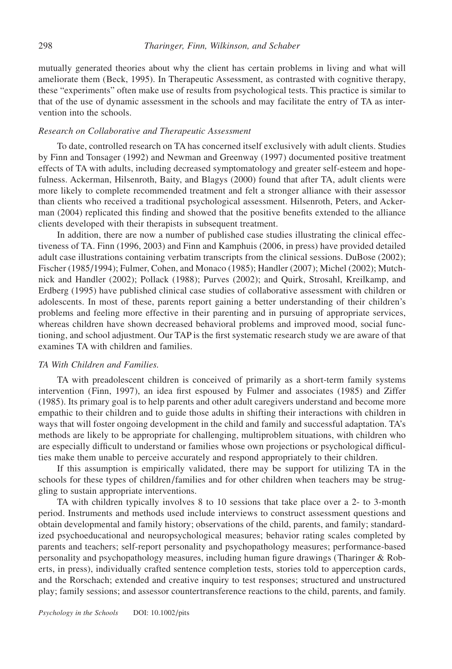mutually generated theories about why the client has certain problems in living and what will ameliorate them (Beck, 1995). In Therapeutic Assessment, as contrasted with cognitive therapy, these "experiments" often make use of results from psychological tests. This practice is similar to that of the use of dynamic assessment in the schools and may facilitate the entry of TA as intervention into the schools.

### *Research on Collaborative and Therapeutic Assessment*

To date, controlled research on TA has concerned itself exclusively with adult clients. Studies by Finn and Tonsager (1992) and Newman and Greenway (1997) documented positive treatment effects of TA with adults, including decreased symptomatology and greater self-esteem and hopefulness. Ackerman, Hilsenroth, Baity, and Blagys (2000) found that after TA, adult clients were more likely to complete recommended treatment and felt a stronger alliance with their assessor than clients who received a traditional psychological assessment. Hilsenroth, Peters, and Ackerman (2004) replicated this finding and showed that the positive benefits extended to the alliance clients developed with their therapists in subsequent treatment.

In addition, there are now a number of published case studies illustrating the clinical effectiveness of TA. Finn (1996, 2003) and Finn and Kamphuis (2006, in press) have provided detailed adult case illustrations containing verbatim transcripts from the clinical sessions. DuBose (2002); Fischer (1985/1994); Fulmer, Cohen, and Monaco (1985); Handler (2007); Michel (2002); Mutchnick and Handler (2002); Pollack (1988); Purves (2002); and Quirk, Strosahl, Kreilkamp, and Erdberg (1995) have published clinical case studies of collaborative assessment with children or adolescents. In most of these, parents report gaining a better understanding of their children's problems and feeling more effective in their parenting and in pursuing of appropriate services, whereas children have shown decreased behavioral problems and improved mood, social functioning, and school adjustment. Our TAP is the first systematic research study we are aware of that examines TA with children and families.

## *TA With Children and Families.*

TA with preadolescent children is conceived of primarily as a short-term family systems intervention (Finn, 1997), an idea first espoused by Fulmer and associates (1985) and Ziffer (1985). Its primary goal is to help parents and other adult caregivers understand and become more empathic to their children and to guide those adults in shifting their interactions with children in ways that will foster ongoing development in the child and family and successful adaptation. TA's methods are likely to be appropriate for challenging, multiproblem situations, with children who are especially difficult to understand or families whose own projections or psychological difficulties make them unable to perceive accurately and respond appropriately to their children.

If this assumption is empirically validated, there may be support for utilizing TA in the schools for these types of children/families and for other children when teachers may be struggling to sustain appropriate interventions.

TA with children typically involves 8 to 10 sessions that take place over a 2- to 3-month period. Instruments and methods used include interviews to construct assessment questions and obtain developmental and family history; observations of the child, parents, and family; standardized psychoeducational and neuropsychological measures; behavior rating scales completed by parents and teachers; self-report personality and psychopathology measures; performance-based personality and psychopathology measures, including human figure drawings (Tharinger & Roberts, in press), individually crafted sentence completion tests, stories told to apperception cards, and the Rorschach; extended and creative inquiry to test responses; structured and unstructured play; family sessions; and assessor countertransference reactions to the child, parents, and family.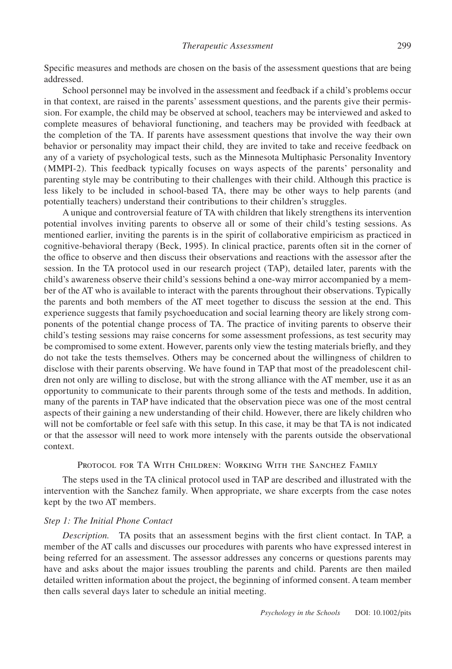Specific measures and methods are chosen on the basis of the assessment questions that are being addressed.

School personnel may be involved in the assessment and feedback if a child's problems occur in that context, are raised in the parents' assessment questions, and the parents give their permission. For example, the child may be observed at school, teachers may be interviewed and asked to complete measures of behavioral functioning, and teachers may be provided with feedback at the completion of the TA. If parents have assessment questions that involve the way their own behavior or personality may impact their child, they are invited to take and receive feedback on any of a variety of psychological tests, such as the Minnesota Multiphasic Personality Inventory (MMPI-2). This feedback typically focuses on ways aspects of the parents' personality and parenting style may be contributing to their challenges with their child. Although this practice is less likely to be included in school-based TA, there may be other ways to help parents (and potentially teachers) understand their contributions to their children's struggles.

A unique and controversial feature of TA with children that likely strengthens its intervention potential involves inviting parents to observe all or some of their child's testing sessions. As mentioned earlier, inviting the parents is in the spirit of collaborative empiricism as practiced in cognitive-behavioral therapy (Beck, 1995). In clinical practice, parents often sit in the corner of the office to observe and then discuss their observations and reactions with the assessor after the session. In the TA protocol used in our research project (TAP), detailed later, parents with the child's awareness observe their child's sessions behind a one-way mirror accompanied by a member of the AT who is available to interact with the parents throughout their observations. Typically the parents and both members of the AT meet together to discuss the session at the end. This experience suggests that family psychoeducation and social learning theory are likely strong components of the potential change process of TA. The practice of inviting parents to observe their child's testing sessions may raise concerns for some assessment professions, as test security may be compromised to some extent. However, parents only view the testing materials briefly, and they do not take the tests themselves. Others may be concerned about the willingness of children to disclose with their parents observing. We have found in TAP that most of the preadolescent children not only are willing to disclose, but with the strong alliance with the AT member, use it as an opportunity to communicate to their parents through some of the tests and methods. In addition, many of the parents in TAP have indicated that the observation piece was one of the most central aspects of their gaining a new understanding of their child. However, there are likely children who will not be comfortable or feel safe with this setup. In this case, it may be that TA is not indicated or that the assessor will need to work more intensely with the parents outside the observational context.

## Protocol for TA With Children: Working With the Sanchez Family

The steps used in the TA clinical protocol used in TAP are described and illustrated with the intervention with the Sanchez family. When appropriate, we share excerpts from the case notes kept by the two AT members.

## *Step 1: The Initial Phone Contact*

*Description.* TA posits that an assessment begins with the first client contact. In TAP, a member of the AT calls and discusses our procedures with parents who have expressed interest in being referred for an assessment. The assessor addresses any concerns or questions parents may have and asks about the major issues troubling the parents and child. Parents are then mailed detailed written information about the project, the beginning of informed consent. A team member then calls several days later to schedule an initial meeting.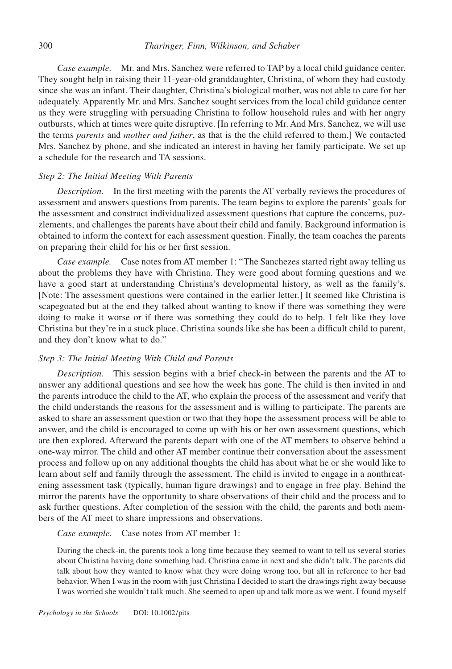*Case example.* Mr. and Mrs. Sanchez were referred to TAP by a local child guidance center. They sought help in raising their 11-year-old granddaughter, Christina, of whom they had custody since she was an infant. Their daughter, Christina's biological mother, was not able to care for her adequately. Apparently Mr. and Mrs. Sanchez sought services from the local child guidance center as they were struggling with persuading Christina to follow household rules and with her angry outbursts, which at times were quite disruptive. [In referring to Mr. And Mrs. Sanchez, we will use the terms *parents* and *mother and father*, as that is the the child referred to them.] We contacted Mrs. Sanchez by phone, and she indicated an interest in having her family participate. We set up a schedule for the research and TA sessions.

### *Step 2: The Initial Meeting With Parents*

*Description.* In the first meeting with the parents the AT verbally reviews the procedures of assessment and answers questions from parents. The team begins to explore the parents' goals for the assessment and construct individualized assessment questions that capture the concerns, puzzlements, and challenges the parents have about their child and family. Background information is obtained to inform the context for each assessment question. Finally, the team coaches the parents on preparing their child for his or her first session.

*Case example.* Case notes from AT member 1: "The Sanchezes started right away telling us about the problems they have with Christina. They were good about forming questions and we have a good start at understanding Christina's developmental history, as well as the family's. [Note: The assessment questions were contained in the earlier letter.] It seemed like Christina is scapegoated but at the end they talked about wanting to know if there was something they were doing to make it worse or if there was something they could do to help. I felt like they love Christina but they're in a stuck place. Christina sounds like she has been a difficult child to parent, and they don't know what to do."

### *Step 3: The Initial Meeting With Child and Parents*

*Description.* This session begins with a brief check-in between the parents and the AT to answer any additional questions and see how the week has gone. The child is then invited in and the parents introduce the child to the AT, who explain the process of the assessment and verify that the child understands the reasons for the assessment and is willing to participate. The parents are asked to share an assessment question or two that they hope the assessment process will be able to answer, and the child is encouraged to come up with his or her own assessment questions, which are then explored. Afterward the parents depart with one of the AT members to observe behind a one-way mirror. The child and other AT member continue their conversation about the assessment process and follow up on any additional thoughts the child has about what he or she would like to learn about self and family through the assessment. The child is invited to engage in a nonthreatening assessment task (typically, human figure drawings) and to engage in free play. Behind the mirror the parents have the opportunity to share observations of their child and the process and to ask further questions. After completion of the session with the child, the parents and both members of the AT meet to share impressions and observations.

*Case example.* Case notes from AT member 1:

During the check-in, the parents took a long time because they seemed to want to tell us several stories about Christina having done something bad. Christina came in next and she didn't talk. The parents did talk about how they wanted to know what they were doing wrong too, but all in reference to her bad behavior. When I was in the room with just Christina I decided to start the drawings right away because I was worried she wouldn't talk much. She seemed to open up and talk more as we went. I found myself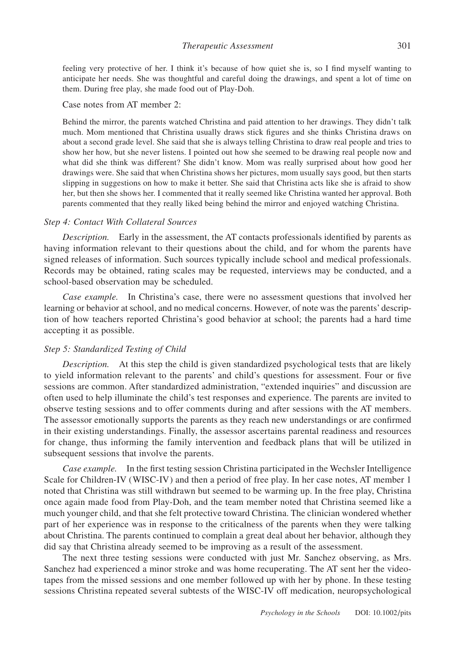feeling very protective of her. I think it's because of how quiet she is, so I find myself wanting to anticipate her needs. She was thoughtful and careful doing the drawings, and spent a lot of time on them. During free play, she made food out of Play-Doh.

## Case notes from AT member 2:

Behind the mirror, the parents watched Christina and paid attention to her drawings. They didn't talk much. Mom mentioned that Christina usually draws stick figures and she thinks Christina draws on about a second grade level. She said that she is always telling Christina to draw real people and tries to show her how, but she never listens. I pointed out how she seemed to be drawing real people now and what did she think was different? She didn't know. Mom was really surprised about how good her drawings were. She said that when Christina shows her pictures, mom usually says good, but then starts slipping in suggestions on how to make it better. She said that Christina acts like she is afraid to show her, but then she shows her. I commented that it really seemed like Christina wanted her approval. Both parents commented that they really liked being behind the mirror and enjoyed watching Christina.

# *Step 4: Contact With Collateral Sources*

*Description.* Early in the assessment, the AT contacts professionals identified by parents as having information relevant to their questions about the child, and for whom the parents have signed releases of information. Such sources typically include school and medical professionals. Records may be obtained, rating scales may be requested, interviews may be conducted, and a school-based observation may be scheduled.

*Case example.* In Christina's case, there were no assessment questions that involved her learning or behavior at school, and no medical concerns. However, of note was the parents' description of how teachers reported Christina's good behavior at school; the parents had a hard time accepting it as possible.

## *Step 5: Standardized Testing of Child*

*Description.* At this step the child is given standardized psychological tests that are likely to yield information relevant to the parents' and child's questions for assessment. Four or five sessions are common. After standardized administration, "extended inquiries" and discussion are often used to help illuminate the child's test responses and experience. The parents are invited to observe testing sessions and to offer comments during and after sessions with the AT members. The assessor emotionally supports the parents as they reach new understandings or are confirmed in their existing understandings. Finally, the assessor ascertains parental readiness and resources for change, thus informing the family intervention and feedback plans that will be utilized in subsequent sessions that involve the parents.

*Case example.* In the first testing session Christina participated in the Wechsler Intelligence Scale for Children-IV (WISC-IV) and then a period of free play. In her case notes, AT member 1 noted that Christina was still withdrawn but seemed to be warming up. In the free play, Christina once again made food from Play-Doh, and the team member noted that Christina seemed like a much younger child, and that she felt protective toward Christina. The clinician wondered whether part of her experience was in response to the criticalness of the parents when they were talking about Christina. The parents continued to complain a great deal about her behavior, although they did say that Christina already seemed to be improving as a result of the assessment.

The next three testing sessions were conducted with just Mr. Sanchez observing, as Mrs. Sanchez had experienced a minor stroke and was home recuperating. The AT sent her the videotapes from the missed sessions and one member followed up with her by phone. In these testing sessions Christina repeated several subtests of the WISC-IV off medication, neuropsychological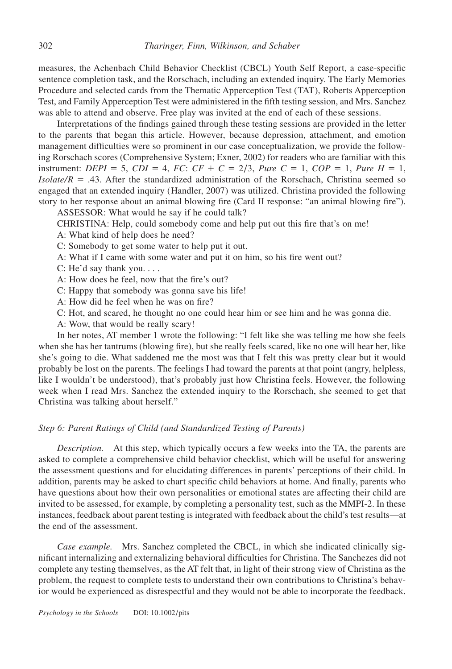measures, the Achenbach Child Behavior Checklist (CBCL) Youth Self Report, a case-specific sentence completion task, and the Rorschach, including an extended inquiry. The Early Memories Procedure and selected cards from the Thematic Apperception Test (TAT), Roberts Apperception Test, and Family Apperception Test were administered in the fifth testing session, and Mrs. Sanchez was able to attend and observe. Free play was invited at the end of each of these sessions.

Interpretations of the findings gained through these testing sessions are provided in the letter to the parents that began this article. However, because depression, attachment, and emotion management difficulties were so prominent in our case conceptualization, we provide the following Rorschach scores (Comprehensive System; Exner, 2002) for readers who are familiar with this instrument: *DEPI* = 5, *CDI* = 4, *FC*:  $CF + C = 2/3$ , *Pure C* = 1, *COP* = 1, *Pure H* = 1, *Isolate/R* = .43. After the standardized administration of the Rorschach, Christina seemed so engaged that an extended inquiry (Handler, 2007) was utilized. Christina provided the following story to her response about an animal blowing fire (Card II response: "an animal blowing fire").

ASSESSOR: What would he say if he could talk?

CHRISTINA: Help, could somebody come and help put out this fire that's on me!

A: What kind of help does he need?

C: Somebody to get some water to help put it out.

A: What if I came with some water and put it on him, so his fire went out?

C: He'd say thank you. . . .

A: How does he feel, now that the fire's out?

C: Happy that somebody was gonna save his life!

A: How did he feel when he was on fire?

C: Hot, and scared, he thought no one could hear him or see him and he was gonna die.

A: Wow, that would be really scary!

In her notes, AT member 1 wrote the following: "I felt like she was telling me how she feels when she has her tantrums (blowing fire), but she really feels scared, like no one will hear her, like she's going to die. What saddened me the most was that I felt this was pretty clear but it would probably be lost on the parents. The feelings I had toward the parents at that point (angry, helpless, like I wouldn't be understood), that's probably just how Christina feels. However, the following week when I read Mrs. Sanchez the extended inquiry to the Rorschach, she seemed to get that Christina was talking about herself."

## *Step 6: Parent Ratings of Child (and Standardized Testing of Parents)*

*Description.* At this step, which typically occurs a few weeks into the TA, the parents are asked to complete a comprehensive child behavior checklist, which will be useful for answering the assessment questions and for elucidating differences in parents' perceptions of their child. In addition, parents may be asked to chart specific child behaviors at home. And finally, parents who have questions about how their own personalities or emotional states are affecting their child are invited to be assessed, for example, by completing a personality test, such as the MMPI-2. In these instances, feedback about parent testing is integrated with feedback about the child's test results—at the end of the assessment.

*Case example.* Mrs. Sanchez completed the CBCL, in which she indicated clinically significant internalizing and externalizing behavioral difficulties for Christina. The Sanchezes did not complete any testing themselves, as the AT felt that, in light of their strong view of Christina as the problem, the request to complete tests to understand their own contributions to Christina's behavior would be experienced as disrespectful and they would not be able to incorporate the feedback.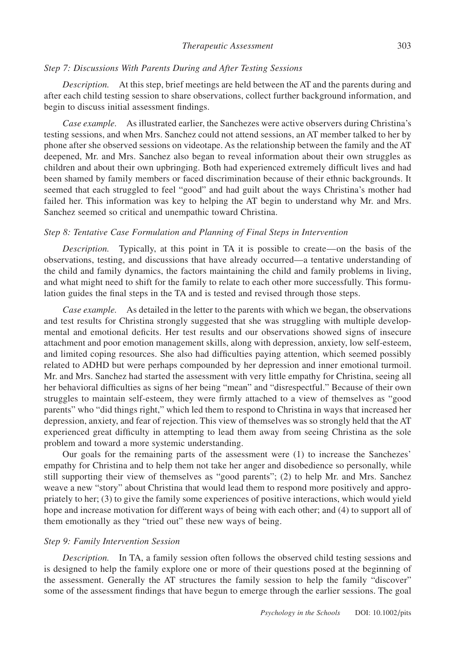## *Step 7: Discussions With Parents During and After Testing Sessions*

*Description.* At this step, brief meetings are held between the AT and the parents during and after each child testing session to share observations, collect further background information, and begin to discuss initial assessment findings.

*Case example.* As illustrated earlier, the Sanchezes were active observers during Christina's testing sessions, and when Mrs. Sanchez could not attend sessions, an AT member talked to her by phone after she observed sessions on videotape. As the relationship between the family and the AT deepened, Mr. and Mrs. Sanchez also began to reveal information about their own struggles as children and about their own upbringing. Both had experienced extremely difficult lives and had been shamed by family members or faced discrimination because of their ethnic backgrounds. It seemed that each struggled to feel "good" and had guilt about the ways Christina's mother had failed her. This information was key to helping the AT begin to understand why Mr. and Mrs. Sanchez seemed so critical and unempathic toward Christina.

## *Step 8: Tentative Case Formulation and Planning of Final Steps in Intervention*

*Description.* Typically, at this point in TA it is possible to create—on the basis of the observations, testing, and discussions that have already occurred—a tentative understanding of the child and family dynamics, the factors maintaining the child and family problems in living, and what might need to shift for the family to relate to each other more successfully. This formulation guides the final steps in the TA and is tested and revised through those steps.

*Case example.* As detailed in the letter to the parents with which we began, the observations and test results for Christina strongly suggested that she was struggling with multiple developmental and emotional deficits. Her test results and our observations showed signs of insecure attachment and poor emotion management skills, along with depression, anxiety, low self-esteem, and limited coping resources. She also had difficulties paying attention, which seemed possibly related to ADHD but were perhaps compounded by her depression and inner emotional turmoil. Mr. and Mrs. Sanchez had started the assessment with very little empathy for Christina, seeing all her behavioral difficulties as signs of her being "mean" and "disrespectful." Because of their own struggles to maintain self-esteem, they were firmly attached to a view of themselves as "good parents" who "did things right," which led them to respond to Christina in ways that increased her depression, anxiety, and fear of rejection. This view of themselves was so strongly held that the AT experienced great difficulty in attempting to lead them away from seeing Christina as the sole problem and toward a more systemic understanding.

Our goals for the remaining parts of the assessment were (1) to increase the Sanchezes' empathy for Christina and to help them not take her anger and disobedience so personally, while still supporting their view of themselves as "good parents"; (2) to help Mr. and Mrs. Sanchez weave a new "story" about Christina that would lead them to respond more positively and appropriately to her; (3) to give the family some experiences of positive interactions, which would yield hope and increase motivation for different ways of being with each other; and (4) to support all of them emotionally as they "tried out" these new ways of being.

### *Step 9: Family Intervention Session*

*Description.* In TA, a family session often follows the observed child testing sessions and is designed to help the family explore one or more of their questions posed at the beginning of the assessment. Generally the AT structures the family session to help the family "discover" some of the assessment findings that have begun to emerge through the earlier sessions. The goal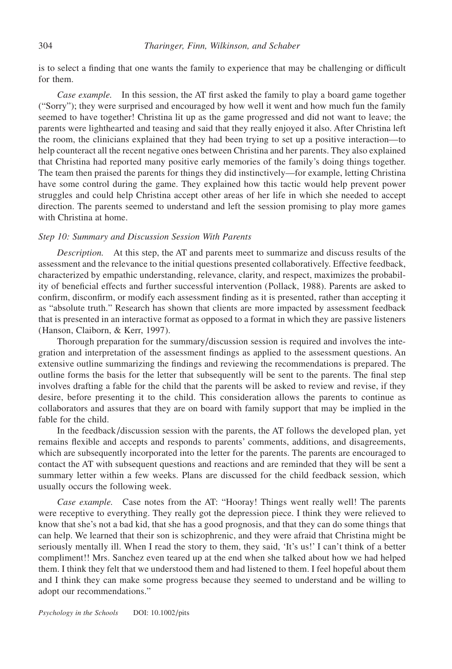is to select a finding that one wants the family to experience that may be challenging or difficult for them.

*Case example.* In this session, the AT first asked the family to play a board game together ("Sorry"); they were surprised and encouraged by how well it went and how much fun the family seemed to have together! Christina lit up as the game progressed and did not want to leave; the parents were lighthearted and teasing and said that they really enjoyed it also. After Christina left the room, the clinicians explained that they had been trying to set up a positive interaction—to help counteract all the recent negative ones between Christina and her parents. They also explained that Christina had reported many positive early memories of the family's doing things together. The team then praised the parents for things they did instinctively—for example, letting Christina have some control during the game. They explained how this tactic would help prevent power struggles and could help Christina accept other areas of her life in which she needed to accept direction. The parents seemed to understand and left the session promising to play more games with Christina at home.

## *Step 10: Summary and Discussion Session With Parents*

*Description.* At this step, the AT and parents meet to summarize and discuss results of the assessment and the relevance to the initial questions presented collaboratively. Effective feedback, characterized by empathic understanding, relevance, clarity, and respect, maximizes the probability of beneficial effects and further successful intervention (Pollack, 1988). Parents are asked to confirm, disconfirm, or modify each assessment finding as it is presented, rather than accepting it as "absolute truth." Research has shown that clients are more impacted by assessment feedback that is presented in an interactive format as opposed to a format in which they are passive listeners (Hanson, Claiborn, & Kerr, 1997).

Thorough preparation for the summary/discussion session is required and involves the integration and interpretation of the assessment findings as applied to the assessment questions. An extensive outline summarizing the findings and reviewing the recommendations is prepared. The outline forms the basis for the letter that subsequently will be sent to the parents. The final step involves drafting a fable for the child that the parents will be asked to review and revise, if they desire, before presenting it to the child. This consideration allows the parents to continue as collaborators and assures that they are on board with family support that may be implied in the fable for the child.

In the feedback/discussion session with the parents, the AT follows the developed plan, yet remains flexible and accepts and responds to parents' comments, additions, and disagreements, which are subsequently incorporated into the letter for the parents. The parents are encouraged to contact the AT with subsequent questions and reactions and are reminded that they will be sent a summary letter within a few weeks. Plans are discussed for the child feedback session, which usually occurs the following week.

*Case example.* Case notes from the AT: "Hooray! Things went really well! The parents were receptive to everything. They really got the depression piece. I think they were relieved to know that she's not a bad kid, that she has a good prognosis, and that they can do some things that can help. We learned that their son is schizophrenic, and they were afraid that Christina might be seriously mentally ill. When I read the story to them, they said, 'It's us!' I can't think of a better compliment!! Mrs. Sanchez even teared up at the end when she talked about how we had helped them. I think they felt that we understood them and had listened to them. I feel hopeful about them and I think they can make some progress because they seemed to understand and be willing to adopt our recommendations."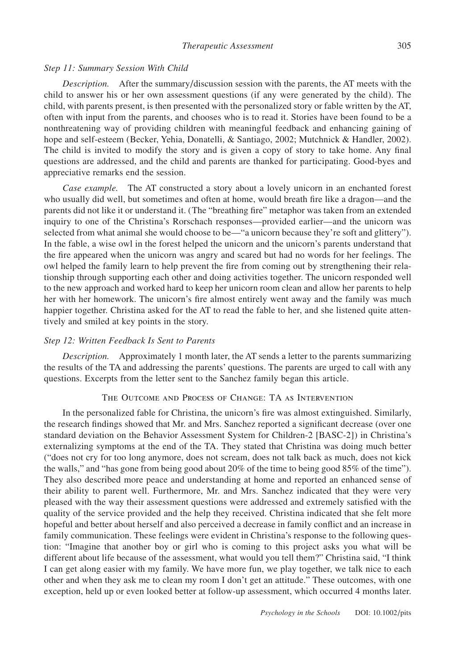## *Step 11: Summary Session With Child*

*Description.* After the summary/discussion session with the parents, the AT meets with the child to answer his or her own assessment questions (if any were generated by the child). The child, with parents present, is then presented with the personalized story or fable written by the AT, often with input from the parents, and chooses who is to read it. Stories have been found to be a nonthreatening way of providing children with meaningful feedback and enhancing gaining of hope and self-esteem (Becker, Yehia, Donatelli, & Santiago, 2002; Mutchnick & Handler, 2002). The child is invited to modify the story and is given a copy of story to take home. Any final questions are addressed, and the child and parents are thanked for participating. Good-byes and appreciative remarks end the session.

*Case example.* The AT constructed a story about a lovely unicorn in an enchanted forest who usually did well, but sometimes and often at home, would breath fire like a dragon—and the parents did not like it or understand it. (The "breathing fire" metaphor was taken from an extended inquiry to one of the Christina's Rorschach responses—provided earlier—and the unicorn was selected from what animal she would choose to be—"a unicorn because they're soft and glittery"). In the fable, a wise owl in the forest helped the unicorn and the unicorn's parents understand that the fire appeared when the unicorn was angry and scared but had no words for her feelings. The owl helped the family learn to help prevent the fire from coming out by strengthening their relationship through supporting each other and doing activities together. The unicorn responded well to the new approach and worked hard to keep her unicorn room clean and allow her parents to help her with her homework. The unicorn's fire almost entirely went away and the family was much happier together. Christina asked for the AT to read the fable to her, and she listened quite attentively and smiled at key points in the story.

## *Step 12: Written Feedback Is Sent to Parents*

*Description.* Approximately 1 month later, the AT sends a letter to the parents summarizing the results of the TA and addressing the parents' questions. The parents are urged to call with any questions. Excerpts from the letter sent to the Sanchez family began this article.

## The Outcome and Process of Change: TA as Intervention

In the personalized fable for Christina, the unicorn's fire was almost extinguished. Similarly, the research findings showed that Mr. and Mrs. Sanchez reported a significant decrease (over one standard deviation on the Behavior Assessment System for Children-2 [BASC-2]) in Christina's externalizing symptoms at the end of the TA. They stated that Christina was doing much better ("does not cry for too long anymore, does not scream, does not talk back as much, does not kick the walls," and "has gone from being good about 20% of the time to being good 85% of the time"). They also described more peace and understanding at home and reported an enhanced sense of their ability to parent well. Furthermore, Mr. and Mrs. Sanchez indicated that they were very pleased with the way their assessment questions were addressed and extremely satisfied with the quality of the service provided and the help they received. Christina indicated that she felt more hopeful and better about herself and also perceived a decrease in family conflict and an increase in family communication. These feelings were evident in Christina's response to the following question: "Imagine that another boy or girl who is coming to this project asks you what will be different about life because of the assessment, what would you tell them?" Christina said, "I think I can get along easier with my family. We have more fun, we play together, we talk nice to each other and when they ask me to clean my room I don't get an attitude." These outcomes, with one exception, held up or even looked better at follow-up assessment, which occurred 4 months later.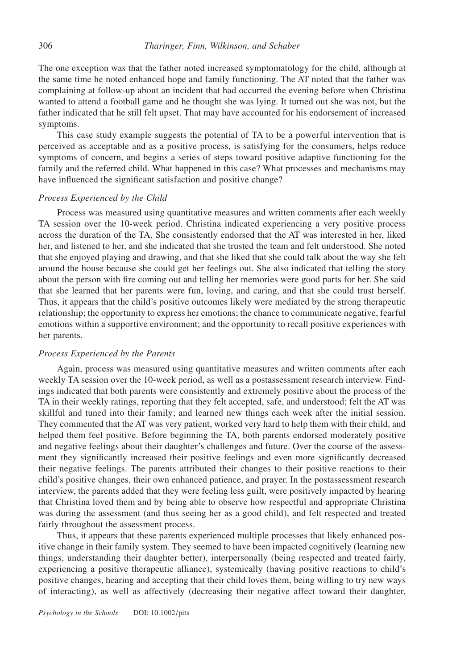The one exception was that the father noted increased symptomatology for the child, although at the same time he noted enhanced hope and family functioning. The AT noted that the father was complaining at follow-up about an incident that had occurred the evening before when Christina wanted to attend a football game and he thought she was lying. It turned out she was not, but the father indicated that he still felt upset. That may have accounted for his endorsement of increased symptoms.

This case study example suggests the potential of TA to be a powerful intervention that is perceived as acceptable and as a positive process, is satisfying for the consumers, helps reduce symptoms of concern, and begins a series of steps toward positive adaptive functioning for the family and the referred child. What happened in this case? What processes and mechanisms may have influenced the significant satisfaction and positive change?

## *Process Experienced by the Child*

Process was measured using quantitative measures and written comments after each weekly TA session over the 10-week period. Christina indicated experiencing a very positive process across the duration of the TA. She consistently endorsed that the AT was interested in her, liked her, and listened to her, and she indicated that she trusted the team and felt understood. She noted that she enjoyed playing and drawing, and that she liked that she could talk about the way she felt around the house because she could get her feelings out. She also indicated that telling the story about the person with fire coming out and telling her memories were good parts for her. She said that she learned that her parents were fun, loving, and caring, and that she could trust herself. Thus, it appears that the child's positive outcomes likely were mediated by the strong therapeutic relationship; the opportunity to express her emotions; the chance to communicate negative, fearful emotions within a supportive environment; and the opportunity to recall positive experiences with her parents.

### *Process Experienced by the Parents*

Again, process was measured using quantitative measures and written comments after each weekly TA session over the 10-week period, as well as a postassessment research interview. Findings indicated that both parents were consistently and extremely positive about the process of the TA in their weekly ratings, reporting that they felt accepted, safe, and understood; felt the AT was skillful and tuned into their family; and learned new things each week after the initial session. They commented that the AT was very patient, worked very hard to help them with their child, and helped them feel positive. Before beginning the TA, both parents endorsed moderately positive and negative feelings about their daughter's challenges and future. Over the course of the assessment they significantly increased their positive feelings and even more significantly decreased their negative feelings. The parents attributed their changes to their positive reactions to their child's positive changes, their own enhanced patience, and prayer. In the postassessment research interview, the parents added that they were feeling less guilt, were positively impacted by hearing that Christina loved them and by being able to observe how respectful and appropriate Christina was during the assessment (and thus seeing her as a good child), and felt respected and treated fairly throughout the assessment process.

Thus, it appears that these parents experienced multiple processes that likely enhanced positive change in their family system. They seemed to have been impacted cognitively (learning new things, understanding their daughter better), interpersonally (being respected and treated fairly, experiencing a positive therapeutic alliance), systemically (having positive reactions to child's positive changes, hearing and accepting that their child loves them, being willing to try new ways of interacting), as well as affectively (decreasing their negative affect toward their daughter,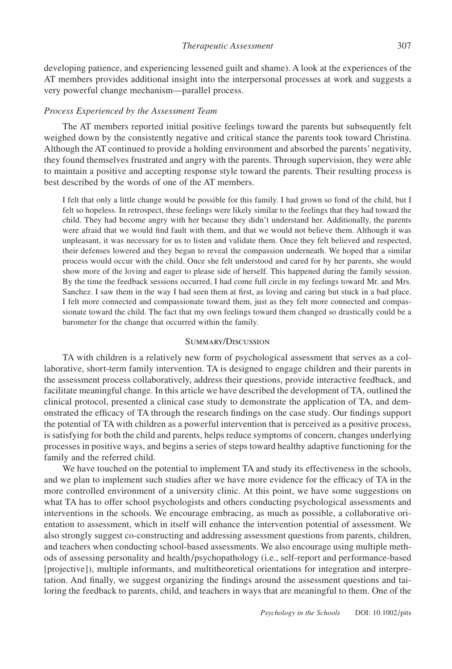developing patience, and experiencing lessened guilt and shame). A look at the experiences of the AT members provides additional insight into the interpersonal processes at work and suggests a very powerful change mechanism—parallel process.

## *Process Experienced by the Assessment Team*

The AT members reported initial positive feelings toward the parents but subsequently felt weighed down by the consistently negative and critical stance the parents took toward Christina. Although the AT continued to provide a holding environment and absorbed the parents' negativity, they found themselves frustrated and angry with the parents. Through supervision, they were able to maintain a positive and accepting response style toward the parents. Their resulting process is best described by the words of one of the AT members.

I felt that only a little change would be possible for this family. I had grown so fond of the child, but I felt so hopeless. In retrospect, these feelings were likely similar to the feelings that they had toward the child. They had become angry with her because they didn't understand her. Additionally, the parents were afraid that we would find fault with them, and that we would not believe them. Although it was unpleasant, it was necessary for us to listen and validate them. Once they felt believed and respected, their defenses lowered and they began to reveal the compassion underneath. We hoped that a similar process would occur with the child. Once she felt understood and cared for by her parents, she would show more of the loving and eager to please side of herself. This happened during the family session. By the time the feedback sessions occurred, I had come full circle in my feelings toward Mr. and Mrs. Sanchez. I saw them in the way I had seen them at first, as loving and caring but stuck in a bad place. I felt more connected and compassionate toward them, just as they felt more connected and compassionate toward the child. The fact that my own feelings toward them changed so drastically could be a barometer for the change that occurred within the family.

### Summary/Discussion

TA with children is a relatively new form of psychological assessment that serves as a collaborative, short-term family intervention. TA is designed to engage children and their parents in the assessment process collaboratively, address their questions, provide interactive feedback, and facilitate meaningful change. In this article we have described the development of TA, outlined the clinical protocol, presented a clinical case study to demonstrate the application of TA, and demonstrated the efficacy of TA through the research findings on the case study. Our findings support the potential of TA with children as a powerful intervention that is perceived as a positive process, is satisfying for both the child and parents, helps reduce symptoms of concern, changes underlying processes in positive ways, and begins a series of steps toward healthy adaptive functioning for the family and the referred child.

We have touched on the potential to implement TA and study its effectiveness in the schools, and we plan to implement such studies after we have more evidence for the efficacy of TA in the more controlled environment of a university clinic. At this point, we have some suggestions on what TA has to offer school psychologists and others conducting psychological assessments and interventions in the schools. We encourage embracing, as much as possible, a collaborative orientation to assessment, which in itself will enhance the intervention potential of assessment. We also strongly suggest co-constructing and addressing assessment questions from parents, children, and teachers when conducting school-based assessments. We also encourage using multiple methods of assessing personality and health/psychopathology (i.e., self-report and performance-based [projective]), multiple informants, and multitheoretical orientations for integration and interpretation. And finally, we suggest organizing the findings around the assessment questions and tailoring the feedback to parents, child, and teachers in ways that are meaningful to them. One of the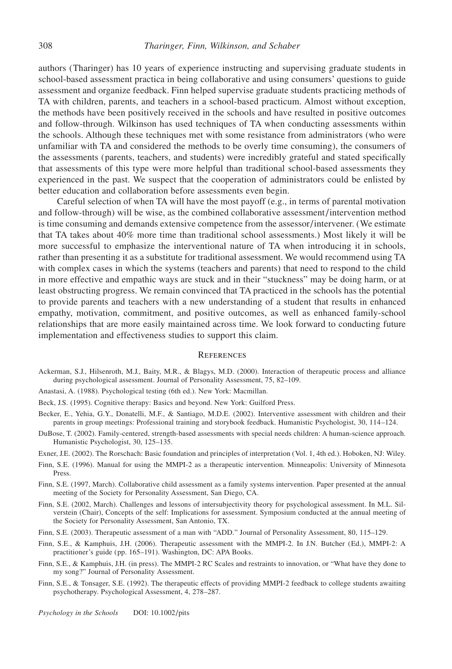authors (Tharinger) has 10 years of experience instructing and supervising graduate students in school-based assessment practica in being collaborative and using consumers' questions to guide assessment and organize feedback. Finn helped supervise graduate students practicing methods of TA with children, parents, and teachers in a school-based practicum. Almost without exception, the methods have been positively received in the schools and have resulted in positive outcomes and follow-through. Wilkinson has used techniques of TA when conducting assessments within the schools. Although these techniques met with some resistance from administrators (who were unfamiliar with TA and considered the methods to be overly time consuming), the consumers of the assessments (parents, teachers, and students) were incredibly grateful and stated specifically that assessments of this type were more helpful than traditional school-based assessments they experienced in the past. We suspect that the cooperation of administrators could be enlisted by better education and collaboration before assessments even begin.

Careful selection of when TA will have the most payoff (e.g., in terms of parental motivation and follow-through) will be wise, as the combined collaborative assessment/intervention method is time consuming and demands extensive competence from the assessor/intervener. (We estimate that TA takes about 40% more time than traditional school assessments.) Most likely it will be more successful to emphasize the interventional nature of TA when introducing it in schools, rather than presenting it as a substitute for traditional assessment. We would recommend using TA with complex cases in which the systems (teachers and parents) that need to respond to the child in more effective and empathic ways are stuck and in their "stuckness" may be doing harm, or at least obstructing progress. We remain convinced that TA practiced in the schools has the potential to provide parents and teachers with a new understanding of a student that results in enhanced empathy, motivation, commitment, and positive outcomes, as well as enhanced family-school relationships that are more easily maintained across time. We look forward to conducting future implementation and effectiveness studies to support this claim.

### **REFERENCES**

- Ackerman, S.J., Hilsenroth, M.J., Baity, M.R., & Blagys, M.D. (2000). Interaction of therapeutic process and alliance during psychological assessment. Journal of Personality Assessment, 75, 82–109.
- Anastasi, A. (1988). Psychological testing (6th ed.). New York: Macmillan.
- Beck, J.S. (1995). Cognitive therapy: Basics and beyond. New York: Guilford Press.
- Becker, E., Yehia, G.Y., Donatelli, M.F., & Santiago, M.D.E. (2002). Interventive assessment with children and their parents in group meetings: Professional training and storybook feedback. Humanistic Psychologist, 30, 114–124.
- DuBose, T. (2002). Family-centered, strength-based assessments with special needs children: A human-science approach. Humanistic Psychologist, 30, 125–135.
- Exner, J.E. (2002). The Rorschach: Basic foundation and principles of interpretation (Vol. 1, 4th ed.). Hoboken, NJ: Wiley.
- Finn, S.E. (1996). Manual for using the MMPI-2 as a therapeutic intervention. Minneapolis: University of Minnesota Press.
- Finn, S.E. (1997, March). Collaborative child assessment as a family systems intervention. Paper presented at the annual meeting of the Society for Personality Assessment, San Diego, CA.
- Finn, S.E. (2002, March). Challenges and lessons of intersubjectivity theory for psychological assessment. In M.L. Silverstein (Chair), Concepts of the self: Implications for assessment. Symposium conducted at the annual meeting of the Society for Personality Assessment, San Antonio, TX.
- Finn, S.E. (2003). Therapeutic assessment of a man with "ADD." Journal of Personality Assessment, 80, 115–129.
- Finn, S.E., & Kamphuis, J.H. (2006). Therapeutic assessment with the MMPI-2. In J.N. Butcher (Ed.), MMPI-2: A practitioner's guide (pp. 165–191). Washington, DC: APA Books.
- Finn, S.E., & Kamphuis, J.H. (in press). The MMPI-2 RC Scales and restraints to innovation, or "What have they done to my song?" Journal of Personality Assessment.
- Finn, S.E., & Tonsager, S.E. (1992). The therapeutic effects of providing MMPI-2 feedback to college students awaiting psychotherapy. Psychological Assessment, 4, 278–287.